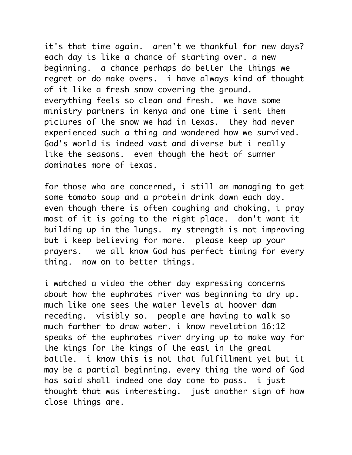it's that time again. aren't we thankful for new days? each day is like a chance of starting over. a new beginning. a chance perhaps do better the things we regret or do make overs. i have always kind of thought of it like a fresh snow covering the ground. everything feels so clean and fresh. we have some ministry partners in kenya and one time i sent them pictures of the snow we had in texas. they had never experienced such a thing and wondered how we survived. God's world is indeed vast and diverse but i really like the seasons. even though the heat of summer dominates more of texas.

for those who are concerned, i still am managing to get some tomato soup and a protein drink down each day. even though there is often coughing and choking, i pray most of it is going to the right place. don't want it building up in the lungs. my strength is not improving but i keep believing for more. please keep up your prayers. we all know God has perfect timing for every thing. now on to better things.

i watched a video the other day expressing concerns about how the euphrates river was beginning to dry up. much like one sees the water levels at hoover dam receding. visibly so. people are having to walk so much farther to draw water. i know revelation 16:12 speaks of the euphrates river drying up to make way for the kings for the kings of the east in the great battle. i know this is not that fulfillment yet but it may be a partial beginning. every thing the word of God has said shall indeed one day come to pass. i just thought that was interesting. just another sign of how close things are.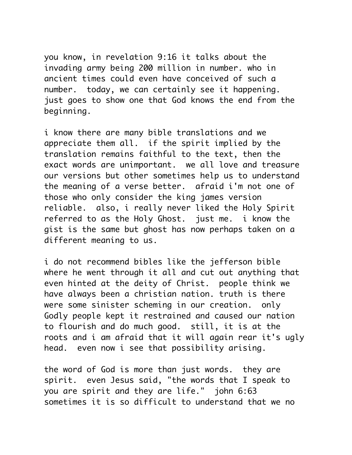you know, in revelation 9:16 it talks about the invading army being 200 million in number. who in ancient times could even have conceived of such a number. today, we can certainly see it happening. just goes to show one that God knows the end from the beginning.

i know there are many bible translations and we appreciate them all. if the spirit implied by the translation remains faithful to the text, then the exact words are unimportant. we all love and treasure our versions but other sometimes help us to understand the meaning of a verse better. afraid i'm not one of those who only consider the king james version reliable. also, i really never liked the Holy Spirit referred to as the Holy Ghost. just me. i know the gist is the same but ghost has now perhaps taken on a different meaning to us.

i do not recommend bibles like the jefferson bible where he went through it all and cut out anything that even hinted at the deity of Christ. people think we have always been a christian nation. truth is there were some sinister scheming in our creation. only Godly people kept it restrained and caused our nation to flourish and do much good. still, it is at the roots and i am afraid that it will again rear it's ugly head. even now i see that possibility arising.

the word of God is more than just words. they are spirit. even Jesus said, "the words that I speak to you are spirit and they are life." john 6:63 sometimes it is so difficult to understand that we no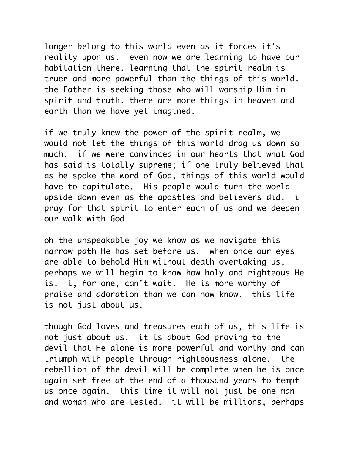longer belong to this world even as it forces it's reality upon us. even now we are learning to have our habitation there. learning that the spirit realm is truer and more powerful than the things of this world. the Father is seeking those who will worship Him in spirit and truth. there are more things in heaven and earth than we have yet imagined.

if we truly knew the power of the spirit realm, we would not let the things of this world drag us down so much. if we were convinced in our hearts that what God has said is totally supreme; if one truly believed that as he spoke the word of God, things of this world would have to capitulate. His people would turn the world upside down even as the apostles and believers did. i pray for that spirit to enter each of us and we deepen our walk with God.

oh the unspeakable joy we know as we navigate this narrow path He has set before us. when once our eyes are able to behold Him without death overtaking us, perhaps we will begin to know how holy and righteous He is. i, for one, can't wait. He is more worthy of praise and adoration than we can now know. this life is not just about us.

though God loves and treasures each of us, this life is not just about us. it is about God proving to the devil that He alone is more powerful and worthy and can triumph with people through righteousness alone. the rebellion of the devil will be complete when he is once again set free at the end of a thousand years to tempt us once again. this time it will not just be one man and woman who are tested. it will be millions, perhaps